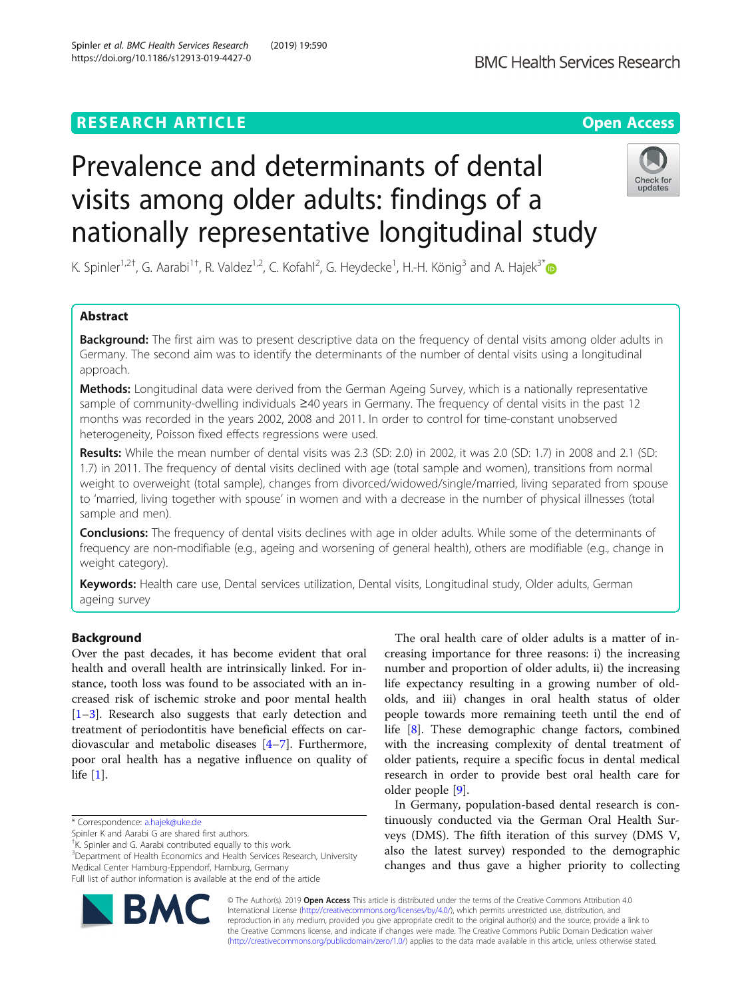# Prevalence and determinants of dental visits among older adults: findings of a nationally representative longitudinal study



undates

K. Spinler<sup>1,2†</sup>, G. Aarabi<sup>1†</sup>, R. Valdez<sup>1,2</sup>, C. Kofahl<sup>2</sup>, G. Heydecke<sup>1</sup>, H.-H. König<sup>3</sup> and A. Hajek<sup>3[\\*](http://orcid.org/0000-0002-6886-2745)</sup>

# Abstract

Background: The first aim was to present descriptive data on the frequency of dental visits among older adults in Germany. The second aim was to identify the determinants of the number of dental visits using a longitudinal approach.

Methods: Longitudinal data were derived from the German Ageing Survey, which is a nationally representative sample of community-dwelling individuals ≥40 years in Germany. The frequency of dental visits in the past 12 months was recorded in the years 2002, 2008 and 2011. In order to control for time-constant unobserved heterogeneity, Poisson fixed effects regressions were used.

Results: While the mean number of dental visits was 2.3 (SD: 2.0) in 2002, it was 2.0 (SD: 1.7) in 2008 and 2.1 (SD: 1.7) in 2011. The frequency of dental visits declined with age (total sample and women), transitions from normal weight to overweight (total sample), changes from divorced/widowed/single/married, living separated from spouse to 'married, living together with spouse' in women and with a decrease in the number of physical illnesses (total sample and men).

**Conclusions:** The frequency of dental visits declines with age in older adults. While some of the determinants of frequency are non-modifiable (e.g., ageing and worsening of general health), others are modifiable (e.g., change in weight category).

Keywords: Health care use, Dental services utilization, Dental visits, Longitudinal study, Older adults, German ageing survey

# Background

Over the past decades, it has become evident that oral health and overall health are intrinsically linked. For instance, tooth loss was found to be associated with an increased risk of ischemic stroke and poor mental health [[1](#page-6-0)–[3\]](#page-6-0). Research also suggests that early detection and treatment of periodontitis have beneficial effects on cardiovascular and metabolic diseases [[4](#page-6-0)–[7\]](#page-6-0). Furthermore, poor oral health has a negative influence on quality of life [\[1](#page-6-0)].

Spinler K and Aarabi G are shared first authors.

† K. Spinler and G. Aarabi contributed equally to this work.

<sup>3</sup>Department of Health Economics and Health Services Research, University Medical Center Hamburg-Eppendorf, Hamburg, Germany Full list of author information is available at the end of the article

The oral health care of older adults is a matter of increasing importance for three reasons: i) the increasing number and proportion of older adults, ii) the increasing life expectancy resulting in a growing number of oldolds, and iii) changes in oral health status of older people towards more remaining teeth until the end of life [[8\]](#page-6-0). These demographic change factors, combined with the increasing complexity of dental treatment of older patients, require a specific focus in dental medical research in order to provide best oral health care for older people [[9\]](#page-6-0).

In Germany, population-based dental research is continuously conducted via the German Oral Health Surveys (DMS). The fifth iteration of this survey (DMS V, also the latest survey) responded to the demographic changes and thus gave a higher priority to collecting



© The Author(s). 2019 **Open Access** This article is distributed under the terms of the Creative Commons Attribution 4.0 International License [\(http://creativecommons.org/licenses/by/4.0/](http://creativecommons.org/licenses/by/4.0/)), which permits unrestricted use, distribution, and reproduction in any medium, provided you give appropriate credit to the original author(s) and the source, provide a link to the Creative Commons license, and indicate if changes were made. The Creative Commons Public Domain Dedication waiver [\(http://creativecommons.org/publicdomain/zero/1.0/](http://creativecommons.org/publicdomain/zero/1.0/)) applies to the data made available in this article, unless otherwise stated.

<sup>\*</sup> Correspondence: [a.hajek@uke.de](mailto:a.hajek@uke.de)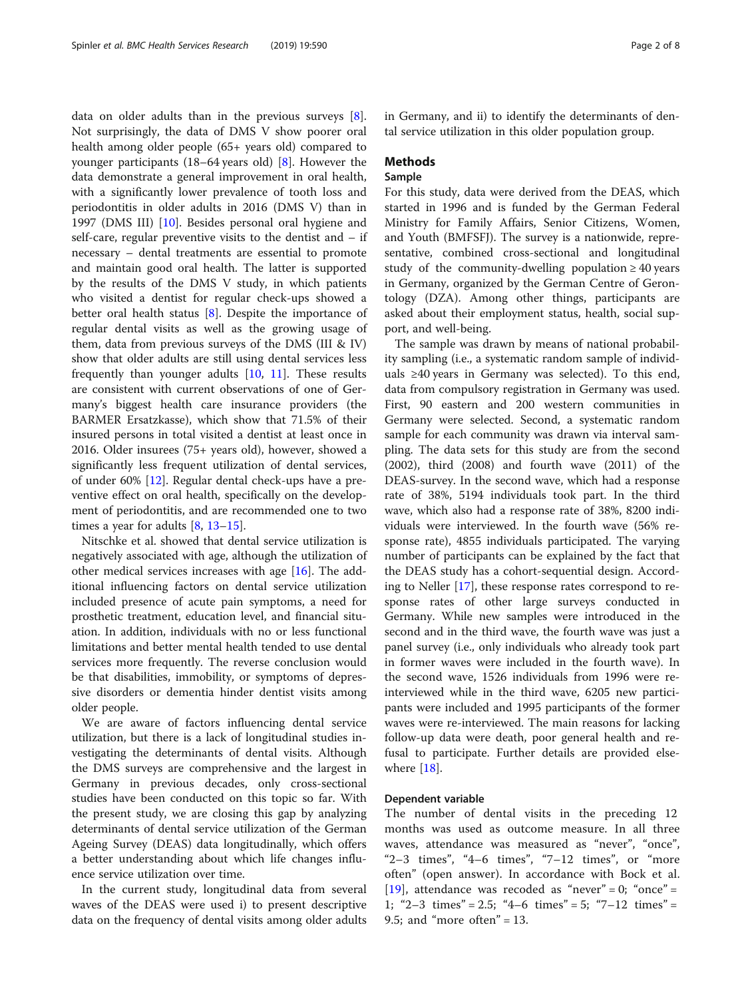data on older adults than in the previous surveys [\[8](#page-6-0)]. Not surprisingly, the data of DMS V show poorer oral health among older people (65+ years old) compared to younger participants  $(18–64 \text{ years old})$  [\[8](#page-6-0)]. However the data demonstrate a general improvement in oral health, with a significantly lower prevalence of tooth loss and periodontitis in older adults in 2016 (DMS V) than in 1997 (DMS III) [[10\]](#page-6-0). Besides personal oral hygiene and self-care, regular preventive visits to the dentist and – if necessary – dental treatments are essential to promote and maintain good oral health. The latter is supported by the results of the DMS V study, in which patients who visited a dentist for regular check-ups showed a better oral health status [\[8](#page-6-0)]. Despite the importance of regular dental visits as well as the growing usage of them, data from previous surveys of the DMS (III & IV) show that older adults are still using dental services less frequently than younger adults [\[10](#page-6-0), [11\]](#page-6-0). These results are consistent with current observations of one of Germany's biggest health care insurance providers (the BARMER Ersatzkasse), which show that 71.5% of their insured persons in total visited a dentist at least once in 2016. Older insurees (75+ years old), however, showed a significantly less frequent utilization of dental services, of under 60% [\[12](#page-6-0)]. Regular dental check-ups have a preventive effect on oral health, specifically on the development of periodontitis, and are recommended one to two times a year for adults  $[8, 13-15]$  $[8, 13-15]$  $[8, 13-15]$  $[8, 13-15]$  $[8, 13-15]$ .

Nitschke et al. showed that dental service utilization is negatively associated with age, although the utilization of other medical services increases with age [[16\]](#page-6-0). The additional influencing factors on dental service utilization included presence of acute pain symptoms, a need for prosthetic treatment, education level, and financial situation. In addition, individuals with no or less functional limitations and better mental health tended to use dental services more frequently. The reverse conclusion would be that disabilities, immobility, or symptoms of depressive disorders or dementia hinder dentist visits among older people.

We are aware of factors influencing dental service utilization, but there is a lack of longitudinal studies investigating the determinants of dental visits. Although the DMS surveys are comprehensive and the largest in Germany in previous decades, only cross-sectional studies have been conducted on this topic so far. With the present study, we are closing this gap by analyzing determinants of dental service utilization of the German Ageing Survey (DEAS) data longitudinally, which offers a better understanding about which life changes influence service utilization over time.

In the current study, longitudinal data from several waves of the DEAS were used i) to present descriptive data on the frequency of dental visits among older adults in Germany, and ii) to identify the determinants of dental service utilization in this older population group.

# Methods

# Sample

For this study, data were derived from the DEAS, which started in 1996 and is funded by the German Federal Ministry for Family Affairs, Senior Citizens, Women, and Youth (BMFSFJ). The survey is a nationwide, representative, combined cross-sectional and longitudinal study of the community-dwelling population  $\geq 40$  years in Germany, organized by the German Centre of Gerontology (DZA). Among other things, participants are asked about their employment status, health, social support, and well-being.

The sample was drawn by means of national probability sampling (i.e., a systematic random sample of individuals ≥40 years in Germany was selected). To this end, data from compulsory registration in Germany was used. First, 90 eastern and 200 western communities in Germany were selected. Second, a systematic random sample for each community was drawn via interval sampling. The data sets for this study are from the second (2002), third (2008) and fourth wave (2011) of the DEAS-survey. In the second wave, which had a response rate of 38%, 5194 individuals took part. In the third wave, which also had a response rate of 38%, 8200 individuals were interviewed. In the fourth wave (56% response rate), 4855 individuals participated. The varying number of participants can be explained by the fact that the DEAS study has a cohort-sequential design. According to Neller [[17\]](#page-6-0), these response rates correspond to response rates of other large surveys conducted in Germany. While new samples were introduced in the second and in the third wave, the fourth wave was just a panel survey (i.e., only individuals who already took part in former waves were included in the fourth wave). In the second wave, 1526 individuals from 1996 were reinterviewed while in the third wave, 6205 new participants were included and 1995 participants of the former waves were re-interviewed. The main reasons for lacking follow-up data were death, poor general health and refusal to participate. Further details are provided elsewhere  $[18]$  $[18]$ .

## Dependent variable

The number of dental visits in the preceding 12 months was used as outcome measure. In all three waves, attendance was measured as "never", "once", "2–3 times", "4–6 times", "7–12 times", or "more often" (open answer). In accordance with Bock et al. [[19\]](#page-6-0), attendance was recoded as "never" = 0; "once" = 1; "2–3 times" = 2.5; "4–6 times" = 5; "7–12 times" = 9.5; and "more often" =  $13$ .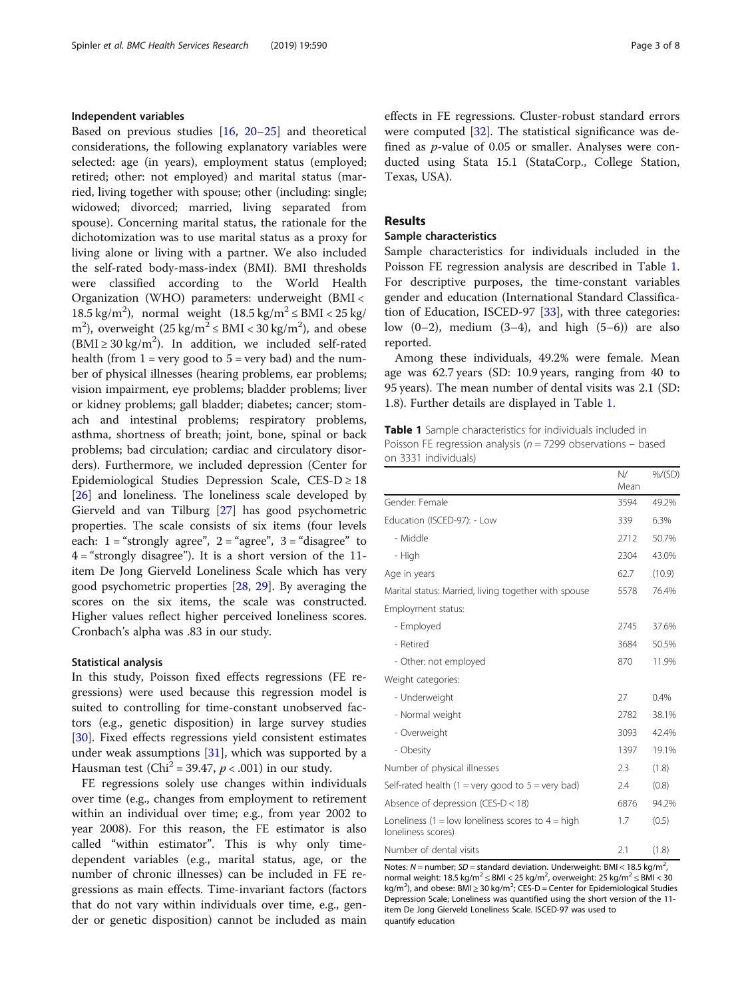# Independent variables

Based on previous studies [[16,](#page-6-0) [20](#page-6-0)–[25](#page-6-0)] and theoretical considerations, the following explanatory variables were selected: age (in years), employment status (employed; retired; other: not employed) and marital status (married, living together with spouse; other (including: single; widowed; divorced; married, living separated from spouse). Concerning marital status, the rationale for the dichotomization was to use marital status as a proxy for living alone or living with a partner. We also included the self-rated body-mass-index (BMI). BMI thresholds were classified according to the World Health Organization (WHO) parameters: underweight (BMI < 18.5 kg/m<sup>2</sup>), normal weight  $(18.5 \text{ kg/m}^2 \leq \text{BMI} < 25 \text{ kg})$ m<sup>2</sup>), overweight  $(25 \text{ kg/m}^2 \leq \text{BMI} < 30 \text{ kg/m}^2)$ , and obese (BMI  $\geq$  30 kg/m<sup>2</sup>). In addition, we included self-rated health (from  $1 = \text{very good to } 5 = \text{very bad}$ ) and the number of physical illnesses (hearing problems, ear problems; vision impairment, eye problems; bladder problems; liver or kidney problems; gall bladder; diabetes; cancer; stomach and intestinal problems; respiratory problems, asthma, shortness of breath; joint, bone, spinal or back problems; bad circulation; cardiac and circulatory disorders). Furthermore, we included depression (Center for Epidemiological Studies Depression Scale,  $CES-D \geq 18$ [[26\]](#page-6-0) and loneliness. The loneliness scale developed by Gierveld and van Tilburg [\[27](#page-6-0)] has good psychometric properties. The scale consists of six items (four levels each:  $1 =$  "strongly agree",  $2 =$  "agree",  $3 =$  "disagree" to  $4 =$  "strongly disagree"). It is a short version of the 11item De Jong Gierveld Loneliness Scale which has very good psychometric properties [[28,](#page-6-0) [29](#page-6-0)]. By averaging the scores on the six items, the scale was constructed. Higher values reflect higher perceived loneliness scores. Cronbach's alpha was .83 in our study.

## Statistical analysis

In this study, Poisson fixed effects regressions (FE regressions) were used because this regression model is suited to controlling for time-constant unobserved factors (e.g., genetic disposition) in large survey studies [[30\]](#page-6-0). Fixed effects regressions yield consistent estimates under weak assumptions  $[31]$  $[31]$ , which was supported by a Hausman test (Chi<sup>2</sup> = 39.47,  $p < .001$ ) in our study.

FE regressions solely use changes within individuals over time (e.g., changes from employment to retirement within an individual over time; e.g., from year 2002 to year 2008). For this reason, the FE estimator is also called "within estimator". This is why only timedependent variables (e.g., marital status, age, or the number of chronic illnesses) can be included in FE regressions as main effects. Time-invariant factors (factors that do not vary within individuals over time, e.g., gender or genetic disposition) cannot be included as main effects in FE regressions. Cluster-robust standard errors were computed [\[32](#page-6-0)]. The statistical significance was defined as p-value of 0.05 or smaller. Analyses were conducted using Stata 15.1 (StataCorp., College Station, Texas, USA).

# Results

## Sample characteristics

Sample characteristics for individuals included in the Poisson FE regression analysis are described in Table 1. For descriptive purposes, the time-constant variables gender and education (International Standard Classification of Education, ISCED-97 [[33\]](#page-6-0), with three categories: low  $(0-2)$ , medium  $(3-4)$ , and high  $(5-6)$  are also reported.

Among these individuals, 49.2% were female. Mean age was 62.7 years (SD: 10.9 years, ranging from 40 to 95 years). The mean number of dental visits was 2.1 (SD: 1.8). Further details are displayed in Table 1.

Table 1 Sample characteristics for individuals included in Poisson FE regression analysis ( $n = 7299$  observations – based on 3331 individuals)

|                                                                           | N/<br>Mean | %/(SD) |
|---------------------------------------------------------------------------|------------|--------|
| Gender: Female                                                            | 3594       | 49.2%  |
| Education (ISCED-97): - Low                                               | 339        | 6.3%   |
| - Middle                                                                  | 2712       | 50.7%  |
| - High                                                                    | 2304       | 43.0%  |
| Age in years                                                              | 62.7       | (10.9) |
| Marital status: Married, living together with spouse                      | 5578       | 76.4%  |
| Employment status:                                                        |            |        |
| - Employed                                                                | 2745       | 37.6%  |
| - Retired                                                                 | 3684       | 50.5%  |
| - Other: not employed                                                     | 870        | 11.9%  |
| Weight categories:                                                        |            |        |
| - Underweight                                                             | 27         | 0.4%   |
| - Normal weight                                                           | 2782       | 38.1%  |
| - Overweight                                                              | 3093       | 42.4%  |
| - Obesity                                                                 | 1397       | 19.1%  |
| Number of physical illnesses                                              | 2.3        | (1.8)  |
| Self-rated health $(1 = \text{very good to } 5 = \text{very bad})$        | 2.4        | (0.8)  |
| Absence of depression (CES-D < 18)                                        | 6876       | 94.2%  |
| Loneliness (1 = low loneliness scores to $4 =$ high<br>loneliness scores) | 1.7        | (0.5)  |
| Number of dental visits                                                   | 2.1        | (1.8)  |

Notes:  $N =$  number;  $SD =$  standard deviation. Underweight: BMI < 18.5 kg/m<sup>2</sup>, , normal weight:  $18.5 \text{ kg/m}^2 \leq \text{BMI} < 25 \text{ kg/m}^2$ , overweight:  $25 \text{ kg/m}^2 \leq \text{BMI} < 30$ kg/m<sup>2</sup>), and obese: BMI  $\geq$  30 kg/m<sup>2</sup>; CES-D = Center for Epidemiological Studies Depression Scale; Loneliness was quantified using the short version of the 11 item De Jong Gierveld Loneliness Scale. ISCED-97 was used to quantify education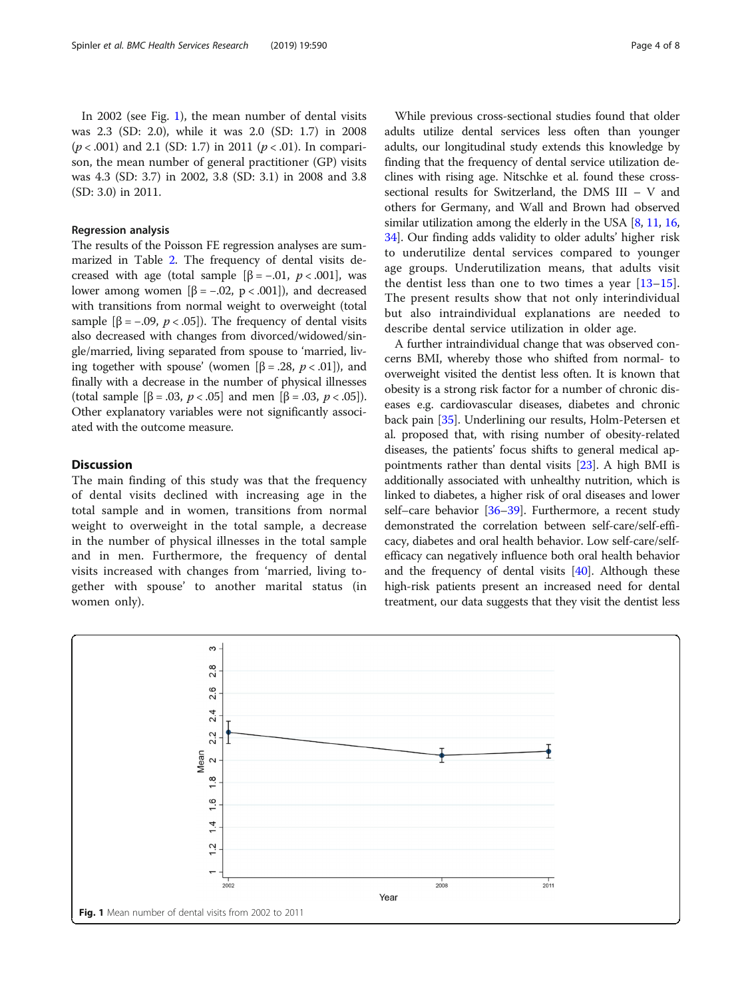## Regression analysis

The results of the Poisson FE regression analyses are summarized in Table [2.](#page-4-0) The frequency of dental visits decreased with age (total sample  $[\beta = -.01, p < .001]$ , was lower among women  $[β = -.02, p < .001]$ ), and decreased with transitions from normal weight to overweight (total sample  $[\beta = -.09, p < .05]$ . The frequency of dental visits also decreased with changes from divorced/widowed/single/married, living separated from spouse to 'married, living together with spouse' (women [β = .28,  $p < .01$ ]), and finally with a decrease in the number of physical illnesses (total sample  $[\beta = .03, p < .05]$  and men  $[\beta = .03, p < .05]$ ). Other explanatory variables were not significantly associated with the outcome measure.

## **Discussion**

The main finding of this study was that the frequency of dental visits declined with increasing age in the total sample and in women, transitions from normal weight to overweight in the total sample, a decrease in the number of physical illnesses in the total sample and in men. Furthermore, the frequency of dental visits increased with changes from 'married, living together with spouse' to another marital status (in women only).

While previous cross-sectional studies found that older adults utilize dental services less often than younger adults, our longitudinal study extends this knowledge by finding that the frequency of dental service utilization declines with rising age. Nitschke et al. found these crosssectional results for Switzerland, the DMS III – V and others for Germany, and Wall and Brown had observed similar utilization among the elderly in the USA [[8,](#page-6-0) [11,](#page-6-0) [16](#page-6-0), [34](#page-6-0)]. Our finding adds validity to older adults' higher risk to underutilize dental services compared to younger age groups. Underutilization means, that adults visit the dentist less than one to two times a year  $[13-15]$  $[13-15]$  $[13-15]$  $[13-15]$ . The present results show that not only interindividual but also intraindividual explanations are needed to describe dental service utilization in older age.

A further intraindividual change that was observed concerns BMI, whereby those who shifted from normal- to overweight visited the dentist less often. It is known that obesity is a strong risk factor for a number of chronic diseases e.g. cardiovascular diseases, diabetes and chronic back pain [[35](#page-6-0)]. Underlining our results, Holm-Petersen et al. proposed that, with rising number of obesity-related diseases, the patients' focus shifts to general medical appointments rather than dental visits [\[23](#page-6-0)]. A high BMI is additionally associated with unhealthy nutrition, which is linked to diabetes, a higher risk of oral diseases and lower self–care behavior [[36](#page-6-0)–[39\]](#page-6-0). Furthermore, a recent study demonstrated the correlation between self-care/self-efficacy, diabetes and oral health behavior. Low self-care/selfefficacy can negatively influence both oral health behavior and the frequency of dental visits [[40](#page-6-0)]. Although these high-risk patients present an increased need for dental treatment, our data suggests that they visit the dentist less

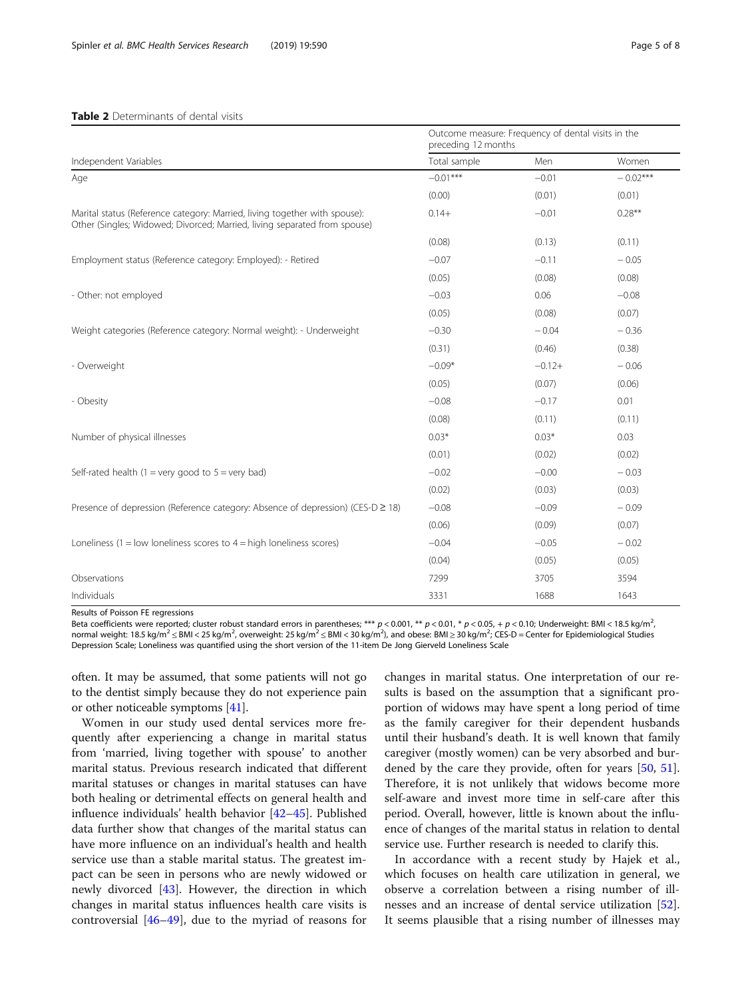## <span id="page-4-0"></span>Table 2 Determinants of dental visits

Outcome measure: Frequency of dental visits in the

| Independent Variables                                                                                                                                   | Outcome measure. Frequency or dental visits in the<br>preceding 12 months |          |            |
|---------------------------------------------------------------------------------------------------------------------------------------------------------|---------------------------------------------------------------------------|----------|------------|
|                                                                                                                                                         | Total sample                                                              | Men      | Women      |
| Age                                                                                                                                                     | $-0.01***$                                                                | $-0.01$  | $-0.02***$ |
|                                                                                                                                                         | (0.00)                                                                    | (0.01)   | (0.01)     |
| Marital status (Reference category: Married, living together with spouse):<br>Other (Singles; Widowed; Divorced; Married, living separated from spouse) | $0.14+$                                                                   | $-0.01$  | $0.28**$   |
|                                                                                                                                                         | (0.08)                                                                    | (0.13)   | (0.11)     |
| Employment status (Reference category: Employed): - Retired                                                                                             | $-0.07$                                                                   | $-0.11$  | $-0.05$    |
|                                                                                                                                                         | (0.05)                                                                    | (0.08)   | (0.08)     |
| - Other: not employed                                                                                                                                   | $-0.03$                                                                   | 0.06     | $-0.08$    |
|                                                                                                                                                         | (0.05)                                                                    | (0.08)   | (0.07)     |
| Weight categories (Reference category: Normal weight): - Underweight                                                                                    | $-0.30$                                                                   | $-0.04$  | $-0.36$    |
|                                                                                                                                                         | (0.31)                                                                    | (0.46)   | (0.38)     |
| - Overweight                                                                                                                                            | $-0.09*$                                                                  | $-0.12+$ | $-0.06$    |
|                                                                                                                                                         | (0.05)                                                                    | (0.07)   | (0.06)     |
| - Obesity                                                                                                                                               | $-0.08$                                                                   | $-0.17$  | 0.01       |
|                                                                                                                                                         | (0.08)                                                                    | (0.11)   | (0.11)     |
| Number of physical illnesses                                                                                                                            | $0.03*$                                                                   | $0.03*$  | 0.03       |
|                                                                                                                                                         | (0.01)                                                                    | (0.02)   | (0.02)     |
| Self-rated health (1 = very good to $5$ = very bad)                                                                                                     | $-0.02$                                                                   | $-0.00$  | $-0.03$    |
|                                                                                                                                                         | (0.02)                                                                    | (0.03)   | (0.03)     |
| Presence of depression (Reference category: Absence of depression) (CES-D ≥ 18)                                                                         | $-0.08$                                                                   | $-0.09$  | $-0.09$    |
|                                                                                                                                                         | (0.06)                                                                    | (0.09)   | (0.07)     |
| Loneliness (1 = low loneliness scores to $4 =$ high loneliness scores)                                                                                  | $-0.04$                                                                   | $-0.05$  | $-0.02$    |
|                                                                                                                                                         | (0.04)                                                                    | (0.05)   | (0.05)     |
| Observations                                                                                                                                            | 7299                                                                      | 3705     | 3594       |
| Individuals                                                                                                                                             | 3331                                                                      | 1688     | 1643       |

Results of Poisson FE regressions

Beta coefficients were reported; cluster robust standard errors in parentheses; \*\*\*  $p < 0.001$ , \*  $p < 0.01$ , \*  $p < 0.05$ , +  $p < 0.10$ ; Underweight: BMI < 18.5 kg/m<sup>2</sup>, , normal weight: 18.5 kg/m<sup>2</sup>  $\leq$  BMI < 25 kg/m<sup>2</sup>, overweight: 25 kg/m<sup>2</sup>  $\leq$  BMI < 30 kg/m<sup>2</sup>), and obese: BMI  $\geq$  30 kg/m<sup>2</sup>; CES-D = Center for Epidemiological Studies Depression Scale; Loneliness was quantified using the short version of the 11-item De Jong Gierveld Loneliness Scale

often. It may be assumed, that some patients will not go to the dentist simply because they do not experience pain or other noticeable symptoms [[41\]](#page-6-0).

Women in our study used dental services more frequently after experiencing a change in marital status from 'married, living together with spouse' to another marital status. Previous research indicated that different marital statuses or changes in marital statuses can have both healing or detrimental effects on general health and influence individuals' health behavior [[42](#page-6-0)–[45](#page-6-0)]. Published data further show that changes of the marital status can have more influence on an individual's health and health service use than a stable marital status. The greatest impact can be seen in persons who are newly widowed or newly divorced [[43\]](#page-6-0). However, the direction in which changes in marital status influences health care visits is controversial [[46](#page-6-0)–[49](#page-7-0)], due to the myriad of reasons for

changes in marital status. One interpretation of our results is based on the assumption that a significant proportion of widows may have spent a long period of time as the family caregiver for their dependent husbands until their husband's death. It is well known that family caregiver (mostly women) can be very absorbed and bur-dened by the care they provide, often for years [[50,](#page-7-0) [51](#page-7-0)]. Therefore, it is not unlikely that widows become more self-aware and invest more time in self-care after this period. Overall, however, little is known about the influence of changes of the marital status in relation to dental service use. Further research is needed to clarify this.

In accordance with a recent study by Hajek et al., which focuses on health care utilization in general, we observe a correlation between a rising number of illnesses and an increase of dental service utilization [\[52](#page-7-0)]. It seems plausible that a rising number of illnesses may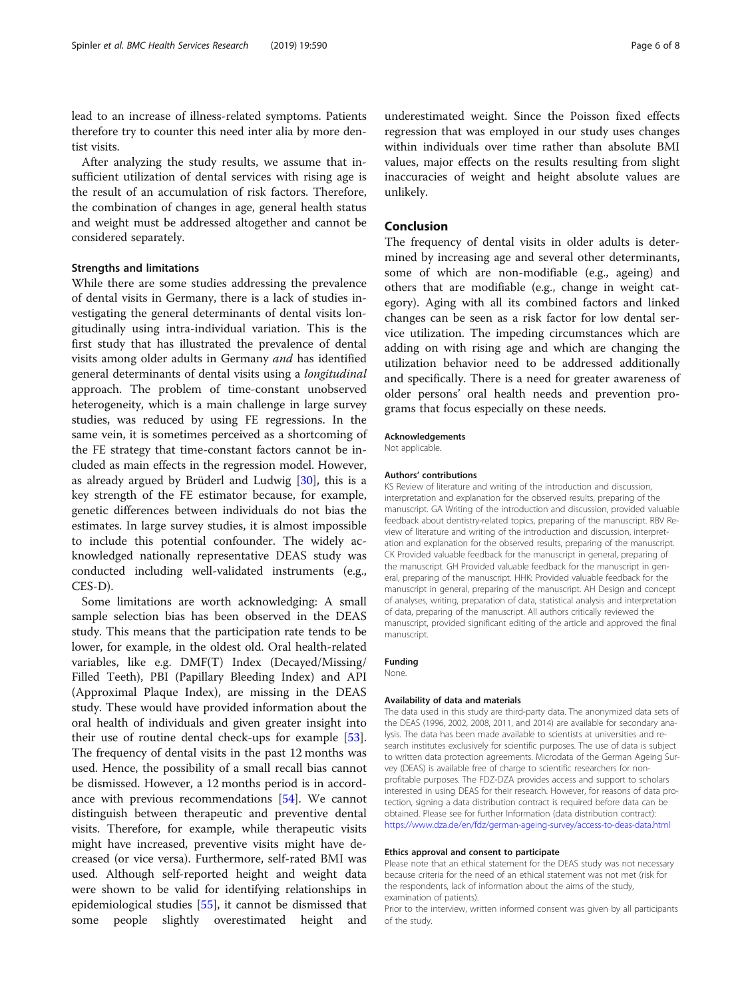lead to an increase of illness-related symptoms. Patients therefore try to counter this need inter alia by more dentist visits.

After analyzing the study results, we assume that insufficient utilization of dental services with rising age is the result of an accumulation of risk factors. Therefore, the combination of changes in age, general health status and weight must be addressed altogether and cannot be considered separately.

## Strengths and limitations

While there are some studies addressing the prevalence of dental visits in Germany, there is a lack of studies investigating the general determinants of dental visits longitudinally using intra-individual variation. This is the first study that has illustrated the prevalence of dental visits among older adults in Germany and has identified general determinants of dental visits using a longitudinal approach. The problem of time-constant unobserved heterogeneity, which is a main challenge in large survey studies, was reduced by using FE regressions. In the same vein, it is sometimes perceived as a shortcoming of the FE strategy that time-constant factors cannot be included as main effects in the regression model. However, as already argued by Brüderl and Ludwig [[30\]](#page-6-0), this is a key strength of the FE estimator because, for example, genetic differences between individuals do not bias the estimates. In large survey studies, it is almost impossible to include this potential confounder. The widely acknowledged nationally representative DEAS study was conducted including well-validated instruments (e.g., CES-D).

Some limitations are worth acknowledging: A small sample selection bias has been observed in the DEAS study. This means that the participation rate tends to be lower, for example, in the oldest old. Oral health-related variables, like e.g. DMF(T) Index (Decayed/Missing/ Filled Teeth), PBI (Papillary Bleeding Index) and API (Approximal Plaque Index), are missing in the DEAS study. These would have provided information about the oral health of individuals and given greater insight into their use of routine dental check-ups for example [\[53](#page-7-0)]. The frequency of dental visits in the past 12 months was used. Hence, the possibility of a small recall bias cannot be dismissed. However, a 12 months period is in accordance with previous recommendations [[54](#page-7-0)]. We cannot distinguish between therapeutic and preventive dental visits. Therefore, for example, while therapeutic visits might have increased, preventive visits might have decreased (or vice versa). Furthermore, self-rated BMI was used. Although self-reported height and weight data were shown to be valid for identifying relationships in epidemiological studies [\[55\]](#page-7-0), it cannot be dismissed that some people slightly overestimated height and

underestimated weight. Since the Poisson fixed effects regression that was employed in our study uses changes within individuals over time rather than absolute BMI values, major effects on the results resulting from slight inaccuracies of weight and height absolute values are unlikely.

# Conclusion

The frequency of dental visits in older adults is determined by increasing age and several other determinants, some of which are non-modifiable (e.g., ageing) and others that are modifiable (e.g., change in weight category). Aging with all its combined factors and linked changes can be seen as a risk factor for low dental service utilization. The impeding circumstances which are adding on with rising age and which are changing the utilization behavior need to be addressed additionally and specifically. There is a need for greater awareness of older persons' oral health needs and prevention programs that focus especially on these needs.

#### Acknowledgements

Not applicable.

#### Authors' contributions

KS Review of literature and writing of the introduction and discussion, interpretation and explanation for the observed results, preparing of the manuscript. GA Writing of the introduction and discussion, provided valuable feedback about dentistry-related topics, preparing of the manuscript. RBV Review of literature and writing of the introduction and discussion, interpretation and explanation for the observed results, preparing of the manuscript. CK Provided valuable feedback for the manuscript in general, preparing of the manuscript. GH Provided valuable feedback for the manuscript in general, preparing of the manuscript. HHK: Provided valuable feedback for the manuscript in general, preparing of the manuscript. AH Design and concept of analyses, writing, preparation of data, statistical analysis and interpretation of data, preparing of the manuscript. All authors critically reviewed the manuscript, provided significant editing of the article and approved the final manuscript.

## Funding

None.

#### Availability of data and materials

The data used in this study are third-party data. The anonymized data sets of the DEAS (1996, 2002, 2008, 2011, and 2014) are available for secondary analysis. The data has been made available to scientists at universities and research institutes exclusively for scientific purposes. The use of data is subject to written data protection agreements. Microdata of the German Ageing Survey (DEAS) is available free of charge to scientific researchers for nonprofitable purposes. The FDZ-DZA provides access and support to scholars interested in using DEAS for their research. However, for reasons of data protection, signing a data distribution contract is required before data can be obtained. Please see for further Information (data distribution contract): <https://www.dza.de/en/fdz/german-ageing-survey/access-to-deas-data.html>

#### Ethics approval and consent to participate

Please note that an ethical statement for the DEAS study was not necessary because criteria for the need of an ethical statement was not met (risk for the respondents, lack of information about the aims of the study, examination of patients).

Prior to the interview, written informed consent was given by all participants of the study.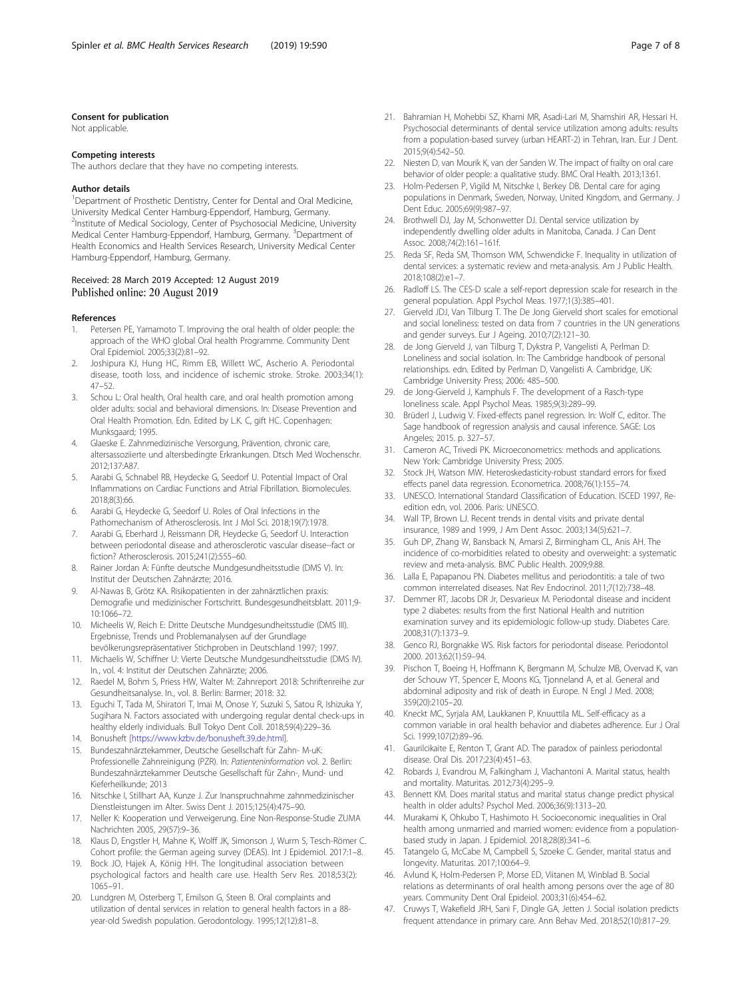#### <span id="page-6-0"></span>Consent for publication

Not applicable.

#### Competing interests

The authors declare that they have no competing interests.

#### Author details

<sup>1</sup>Department of Prosthetic Dentistry, Center for Dental and Oral Medicine, University Medical Center Hamburg-Eppendorf, Hamburg, Germany. 2 Institute of Medical Sociology, Center of Psychosocial Medicine, University Medical Center Hamburg-Eppendorf, Hamburg, Germany. <sup>3</sup>Department of Health Economics and Health Services Research, University Medical Center Hamburg-Eppendorf, Hamburg, Germany.

## Received: 28 March 2019 Accepted: 12 August 2019 Published online: 20 August 2019

#### References

- Petersen PE, Yamamoto T. Improving the oral health of older people: the approach of the WHO global Oral health Programme. Community Dent Oral Epidemiol. 2005;33(2):81–92.
- 2. Joshipura KJ, Hung HC, Rimm EB, Willett WC, Ascherio A. Periodontal disease, tooth loss, and incidence of ischemic stroke. Stroke. 2003;34(1): 47–52.
- 3. Schou L: Oral health, Oral health care, and oral health promotion among older adults: social and behavioral dimensions. In: Disease Prevention and Oral Health Promotion. Edn. Edited by L.K. C, gift HC. Copenhagen: Munksgaard; 1995.
- 4. Glaeske E. Zahnmedizinische Versorgung, Prävention, chronic care, altersassoziierte und altersbedingte Erkrankungen. Dtsch Med Wochenschr. 2012;137:A87.
- 5. Aarabi G, Schnabel RB, Heydecke G, Seedorf U. Potential Impact of Oral Inflammations on Cardiac Functions and Atrial Fibrillation. Biomolecules. 2018;8(3):66.
- 6. Aarabi G, Heydecke G, Seedorf U. Roles of Oral Infections in the Pathomechanism of Atherosclerosis. Int J Mol Sci. 2018;19(7):1978.
- 7. Aarabi G, Eberhard J, Reissmann DR, Heydecke G, Seedorf U. Interaction between periodontal disease and atherosclerotic vascular disease--fact or fiction? Atherosclerosis. 2015;241(2):555–60.
- 8. Rainer Jordan A: Fünfte deutsche Mundgesundheitsstudie (DMS V). In: Institut der Deutschen Zahnärzte; 2016.
- 9. Al-Nawas B, Grötz KA. Risikopatienten in der zahnärztlichen praxis: Demografie und medizinischer Fortschritt. Bundesgesundheitsblatt. 2011;9- 10:1066–72.
- 10. Micheelis W, Reich E: Dritte Deutsche Mundgesundheitsstudie (DMS III). Ergebnisse, Trends und Problemanalysen auf der Grundlage bevölkerungsrepräsentativer Stichproben in Deutschland 1997; 1997.
- 11. Michaelis W, Schiffner U: Vierte Deutsche Mundgesundheitsstudie (DMS IV). In., vol. 4: Institut der Deutschen Zahnärzte; 2006.
- 12. Raedel M, Bohm S, Priess HW, Walter M: Zahnreport 2018: Schriftenreihe zur Gesundheitsanalyse. In., vol. 8. Berlin: Barmer; 2018: 32.
- 13. Eguchi T, Tada M, Shiratori T, Imai M, Onose Y, Suzuki S, Satou R, Ishizuka Y, Sugihara N. Factors associated with undergoing regular dental check-ups in healthy elderly individuals. Bull Tokyo Dent Coll. 2018;59(4):229–36.
- 14. Bonusheft [\[https://www.kzbv.de/bonusheft.39.de.html](https://www.kzbv.de/bonusheft.39.de.html)].
- 15. Bundeszahnärztekammer, Deutsche Gesellschaft für Zahn- M-uK: Professionelle Zahnreinigung (PZR). In: Patienteninformation vol. 2. Berlin: Bundeszahnärztekammer Deutsche Gesellschaft für Zahn-, Mund- und Kieferheilkunde; 2013
- 16. Nitschke I, Stillhart AA, Kunze J. Zur Inanspruchnahme zahnmedizinischer Dienstleistungen im Alter. Swiss Dent J. 2015;125(4):475–90.
- 17. Neller K: Kooperation und Verweigerung. Eine Non-Response-Studie ZUMA Nachrichten 2005, 29(57):9–36.
- 18. Klaus D, Engstler H, Mahne K, Wolff JK, Simonson J, Wurm S, Tesch-Römer C. Cohort profile: the German ageing survey (DEAS). Int J Epidemiol. 2017:1–8.
- 19. Bock JO, Hajek A, König HH. The longitudinal association between psychological factors and health care use. Health Serv Res. 2018;53(2): 1065–91.
- 20. Lundgren M, Osterberg T, Emilson G, Steen B. Oral complaints and utilization of dental services in relation to general health factors in a 88 year-old Swedish population. Gerodontology. 1995;12(12):81–8.
- 21. Bahramian H, Mohebbi SZ, Khami MR, Asadi-Lari M, Shamshiri AR, Hessari H. Psychosocial determinants of dental service utilization among adults: results from a population-based survey (urban HEART-2) in Tehran, Iran. Eur J Dent. 2015;9(4):542–50.
- 22. Niesten D, van Mourik K, van der Sanden W. The impact of frailty on oral care behavior of older people: a qualitative study. BMC Oral Health. 2013;13:61.
- 23. Holm-Pedersen P, Vigild M, Nitschke I, Berkey DB. Dental care for aging populations in Denmark, Sweden, Norway, United Kingdom, and Germany. J Dent Educ. 2005;69(9):987–97.
- 24. Brothwell DJ, Jay M, Schonwetter DJ. Dental service utilization by independently dwelling older adults in Manitoba, Canada. J Can Dent Assoc. 2008;74(2):161–161f.
- 25. Reda SF, Reda SM, Thomson WM, Schwendicke F. Inequality in utilization of dental services: a systematic review and meta-analysis. Am J Public Health. 2018;108(2):e1–7.
- 26. Radloff LS. The CES-D scale a self-report depression scale for research in the general population. Appl Psychol Meas. 1977;1(3):385–401.
- 27. Gierveld JDJ, Van Tilburg T. The De Jong Gierveld short scales for emotional and social loneliness: tested on data from 7 countries in the UN generations and gender surveys. Eur J Ageing. 2010;7(2):121–30.
- 28. de Jong Gierveld J, van Tilburg T, Dykstra P, Vangelisti A, Perlman D: Loneliness and social isolation. In: The Cambridge handbook of personal relationships. edn. Edited by Perlman D, Vangelisti A. Cambridge, UK: Cambridge University Press; 2006: 485–500.
- 29. de Jong-Gierveld J, Kamphuls F. The development of a Rasch-type loneliness scale. Appl Psychol Meas. 1985;9(3):289–99.
- 30. Brüderl J, Ludwig V. Fixed-effects panel regression. In: Wolf C, editor. The Sage handbook of regression analysis and causal inference. SAGE: Los Angeles; 2015. p. 327–57.
- 31. Cameron AC, Trivedi PK. Microeconometrics: methods and applications. New York: Cambridge University Press; 2005.
- 32. Stock JH, Watson MW. Heteroskedasticity-robust standard errors for fixed effects panel data regression. Econometrica. 2008;76(1):155–74.
- 33. UNESCO. International Standard Classification of Education. ISCED 1997, Reedition edn, vol. 2006. Paris: UNESCO.
- 34. Wall TP, Brown LJ. Recent trends in dental visits and private dental insurance, 1989 and 1999, J Am Dent Assoc. 2003;134(5):621–7.
- 35. Guh DP, Zhang W, Bansback N, Amarsi Z, Birmingham CL, Anis AH. The incidence of co-morbidities related to obesity and overweight: a systematic review and meta-analysis. BMC Public Health. 2009;9:88.
- 36. Lalla E, Papapanou PN. Diabetes mellitus and periodontitis: a tale of two common interrelated diseases. Nat Rev Endocrinol. 2011;7(12):738–48.
- 37. Demmer RT, Jacobs DR Jr, Desvarieux M. Periodontal disease and incident type 2 diabetes: results from the first National Health and nutrition examination survey and its epidemiologic follow-up study. Diabetes Care. 2008;31(7):1373–9.
- 38. Genco RJ, Borgnakke WS. Risk factors for periodontal disease. Periodontol 2000. 2013;62(1):59–94.
- 39. Pischon T, Boeing H, Hoffmann K, Bergmann M, Schulze MB, Overvad K, van der Schouw YT, Spencer E, Moons KG, Tjonneland A, et al. General and abdominal adiposity and risk of death in Europe. N Engl J Med. 2008; 359(20):2105–20.
- 40. Kneckt MC, Syrjala AM, Laukkanen P, Knuuttila ML. Self-efficacy as a common variable in oral health behavior and diabetes adherence. Eur J Oral Sci. 1999;107(2):89–96.
- 41. Gaurilcikaite E, Renton T, Grant AD. The paradox of painless periodontal disease. Oral Dis. 2017;23(4):451–63.
- 42. Robards J, Evandrou M, Falkingham J, Vlachantoni A. Marital status, health and mortality. Maturitas. 2012;73(4):295–9.
- 43. Bennett KM. Does marital status and marital status change predict physical health in older adults? Psychol Med. 2006;36(9):1313–20.
- 44. Murakami K, Ohkubo T, Hashimoto H. Socioeconomic inequalities in Oral health among unmarried and married women: evidence from a populationbased study in Japan. J Epidemiol. 2018;28(8):341–6.
- 45. Tatangelo G, McCabe M, Campbell S, Szoeke C. Gender, marital status and longevity. Maturitas. 2017;100:64–9.
- 46. Avlund K, Holm-Pedersen P, Morse ED, Viitanen M, Winblad B. Social relations as determinants of oral health among persons over the age of 80 years. Community Dent Oral Epideiol. 2003;31(6):454–62.
- 47. Cruwys T, Wakefield JRH, Sani F, Dingle GA, Jetten J. Social isolation predicts frequent attendance in primary care. Ann Behav Med. 2018;52(10):817–29.